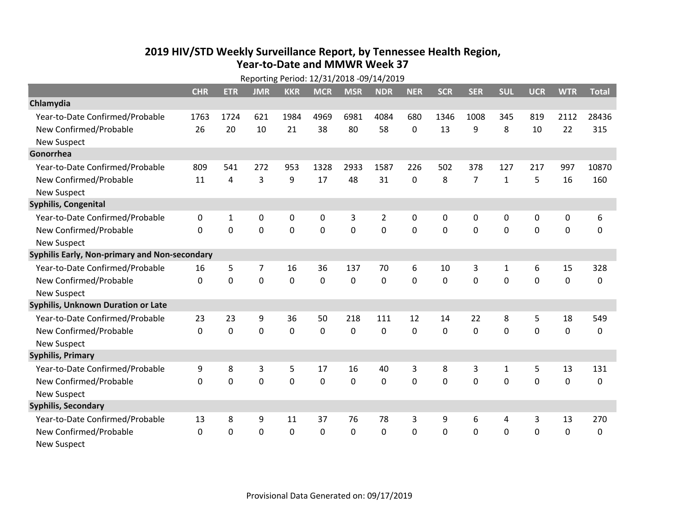## **2019 HIV/STD Weekly Surveillance Report, by Tennessee Health Region, Year‐to‐Date and MMWR Week 37** Reporting Period: 12/31/2018 ‐09/14/2019

| Reporting Period: 12/31/2018 -09/14/2019      |              |            |                |            |             |             |            |            |            |                |              |             |            |              |
|-----------------------------------------------|--------------|------------|----------------|------------|-------------|-------------|------------|------------|------------|----------------|--------------|-------------|------------|--------------|
|                                               | <b>CHR</b>   | <b>ETR</b> | <b>JMR</b>     | <b>KKR</b> | <b>MCR</b>  | <b>MSR</b>  | <b>NDR</b> | <b>NER</b> | <b>SCR</b> | <b>SER</b>     | <b>SUL</b>   | <b>UCR</b>  | <b>WTR</b> | <b>Total</b> |
| Chlamydia                                     |              |            |                |            |             |             |            |            |            |                |              |             |            |              |
| Year-to-Date Confirmed/Probable               | 1763         | 1724       | 621            | 1984       | 4969        | 6981        | 4084       | 680        | 1346       | 1008           | 345          | 819         | 2112       | 28436        |
| New Confirmed/Probable                        | 26           | 20         | 10             | 21         | 38          | 80          | 58         | 0          | 13         | 9              | 8            | 10          | 22         | 315          |
| <b>New Suspect</b>                            |              |            |                |            |             |             |            |            |            |                |              |             |            |              |
| Gonorrhea                                     |              |            |                |            |             |             |            |            |            |                |              |             |            |              |
| Year-to-Date Confirmed/Probable               | 809          | 541        | 272            | 953        | 1328        | 2933        | 1587       | 226        | 502        | 378            | 127          | 217         | 997        | 10870        |
| New Confirmed/Probable                        | 11           | 4          | 3              | 9          | 17          | 48          | 31         | 0          | 8          | $\overline{7}$ | $\mathbf{1}$ | 5           | 16         | 160          |
| <b>New Suspect</b>                            |              |            |                |            |             |             |            |            |            |                |              |             |            |              |
| Syphilis, Congenital                          |              |            |                |            |             |             |            |            |            |                |              |             |            |              |
| Year-to-Date Confirmed/Probable               | $\mathbf{0}$ | 1          | 0              | 0          | 0           | 3           | 2          | 0          | 0          | $\mathbf{0}$   | 0            | 0           | 0          | 6            |
| New Confirmed/Probable                        | $\Omega$     | 0          | $\overline{0}$ | 0          | $\mathbf 0$ | $\mathbf 0$ | 0          | $\Omega$   | $\Omega$   | $\mathbf{0}$   | $\mathbf 0$  | $\mathbf 0$ | 0          | 0            |
| <b>New Suspect</b>                            |              |            |                |            |             |             |            |            |            |                |              |             |            |              |
| Syphilis Early, Non-primary and Non-secondary |              |            |                |            |             |             |            |            |            |                |              |             |            |              |
| Year-to-Date Confirmed/Probable               | 16           | 5          | $\overline{7}$ | 16         | 36          | 137         | 70         | 6          | 10         | 3              | 1            | 6           | 15         | 328          |
| New Confirmed/Probable                        | $\Omega$     | 0          | $\mathbf 0$    | 0          | $\mathbf 0$ | 0           | $\Omega$   | $\Omega$   | $\Omega$   | $\Omega$       | $\Omega$     | $\mathbf 0$ | 0          | 0            |
| <b>New Suspect</b>                            |              |            |                |            |             |             |            |            |            |                |              |             |            |              |
| <b>Syphilis, Unknown Duration or Late</b>     |              |            |                |            |             |             |            |            |            |                |              |             |            |              |
| Year-to-Date Confirmed/Probable               | 23           | 23         | 9              | 36         | 50          | 218         | 111        | 12         | 14         | 22             | 8            | 5           | 18         | 549          |
| New Confirmed/Probable                        | $\Omega$     | 0          | $\mathbf 0$    | 0          | $\mathbf 0$ | 0           | $\Omega$   | $\Omega$   | $\Omega$   | $\Omega$       | 0            | $\Omega$    | 0          | 0            |
| <b>New Suspect</b>                            |              |            |                |            |             |             |            |            |            |                |              |             |            |              |
| <b>Syphilis, Primary</b>                      |              |            |                |            |             |             |            |            |            |                |              |             |            |              |
| Year-to-Date Confirmed/Probable               | 9            | 8          | 3              | 5          | 17          | 16          | 40         | 3          | 8          | 3              | $\mathbf{1}$ | 5           | 13         | 131          |
| New Confirmed/Probable                        | $\Omega$     | 0          | 0              | 0          | $\mathbf 0$ | 0           | 0          | 0          | $\Omega$   | $\mathbf 0$    | 0            | 0           | 0          | 0            |
| <b>New Suspect</b>                            |              |            |                |            |             |             |            |            |            |                |              |             |            |              |
| <b>Syphilis, Secondary</b>                    |              |            |                |            |             |             |            |            |            |                |              |             |            |              |
| Year-to-Date Confirmed/Probable               | 13           | 8          | 9              | 11         | 37          | 76          | 78         | 3          | 9          | 6              | 4            | 3           | 13         | 270          |
| New Confirmed/Probable                        | $\mathbf{0}$ | 0          | $\mathbf 0$    | 0          | 0           | 0           | 0          | 0          | 0          | $\mathbf 0$    | $\mathbf 0$  | $\mathbf 0$ | 0          | 0            |
| <b>New Suspect</b>                            |              |            |                |            |             |             |            |            |            |                |              |             |            |              |